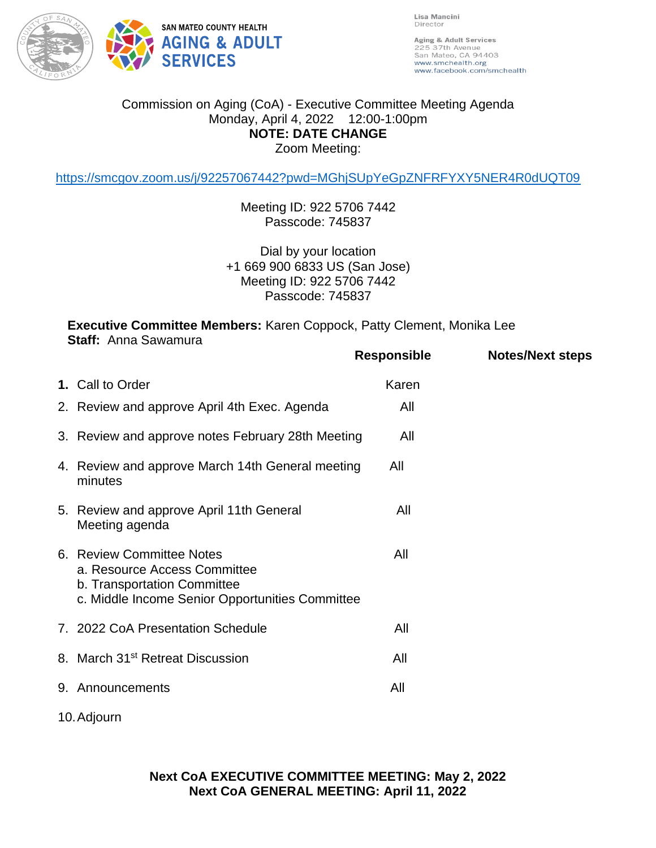

Lisa Mancini Director

Aging & Adult Services 225 37th Avenue<br>San Mateo, CA 94403 www.smchealth.org www.facebook.com/smchealth

## Commission on Aging (CoA) - Executive Committee Meeting Agenda Monday, April 4, 2022 12:00-1:00pm **NOTE: DATE CHANGE** Zoom Meeting:

<https://smcgov.zoom.us/j/92257067442?pwd=MGhjSUpYeGpZNFRFYXY5NER4R0dUQT09>

Meeting ID: 922 5706 7442 Passcode: 745837

Dial by your location +1 669 900 6833 US (San Jose) Meeting ID: 922 5706 7442 Passcode: 745837

**Executive Committee Members:** Karen Coppock, Patty Clement, Monika Lee **Staff:** Anna Sawamura

|             |                                                                                                                                             | Responsible | <b>Notes/Next steps</b> |
|-------------|---------------------------------------------------------------------------------------------------------------------------------------------|-------------|-------------------------|
|             | 1. Call to Order                                                                                                                            | Karen       |                         |
|             | 2. Review and approve April 4th Exec. Agenda                                                                                                | All         |                         |
|             | 3. Review and approve notes February 28th Meeting                                                                                           | All         |                         |
|             | 4. Review and approve March 14th General meeting<br>minutes                                                                                 | All         |                         |
|             | 5. Review and approve April 11th General<br>Meeting agenda                                                                                  | All         |                         |
|             | 6. Review Committee Notes<br>a. Resource Access Committee<br>b. Transportation Committee<br>c. Middle Income Senior Opportunities Committee | All         |                         |
|             | 7. 2022 CoA Presentation Schedule                                                                                                           | All         |                         |
|             | 8. March 31 <sup>st</sup> Retreat Discussion                                                                                                | All         |                         |
|             | 9. Announcements                                                                                                                            | All         |                         |
| 10. Adjourn |                                                                                                                                             |             |                         |